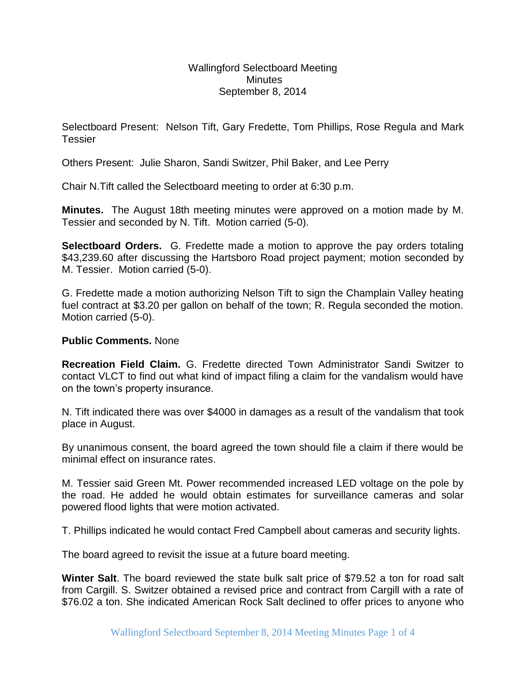Wallingford Selectboard Meeting **Minutes** September 8, 2014

Selectboard Present: Nelson Tift, Gary Fredette, Tom Phillips, Rose Regula and Mark **Tessier** 

Others Present: Julie Sharon, Sandi Switzer, Phil Baker, and Lee Perry

Chair N.Tift called the Selectboard meeting to order at 6:30 p.m.

**Minutes.** The August 18th meeting minutes were approved on a motion made by M. Tessier and seconded by N. Tift. Motion carried (5-0).

**Selectboard Orders.** G. Fredette made a motion to approve the pay orders totaling \$43,239.60 after discussing the Hartsboro Road project payment; motion seconded by M. Tessier. Motion carried (5-0).

G. Fredette made a motion authorizing Nelson Tift to sign the Champlain Valley heating fuel contract at \$3.20 per gallon on behalf of the town; R. Regula seconded the motion. Motion carried (5-0).

## **Public Comments.** None

**Recreation Field Claim.** G. Fredette directed Town Administrator Sandi Switzer to contact VLCT to find out what kind of impact filing a claim for the vandalism would have on the town's property insurance.

N. Tift indicated there was over \$4000 in damages as a result of the vandalism that took place in August.

By unanimous consent, the board agreed the town should file a claim if there would be minimal effect on insurance rates.

M. Tessier said Green Mt. Power recommended increased LED voltage on the pole by the road. He added he would obtain estimates for surveillance cameras and solar powered flood lights that were motion activated.

T. Phillips indicated he would contact Fred Campbell about cameras and security lights.

The board agreed to revisit the issue at a future board meeting.

**Winter Salt**. The board reviewed the state bulk salt price of \$79.52 a ton for road salt from Cargill. S. Switzer obtained a revised price and contract from Cargill with a rate of \$76.02 a ton. She indicated American Rock Salt declined to offer prices to anyone who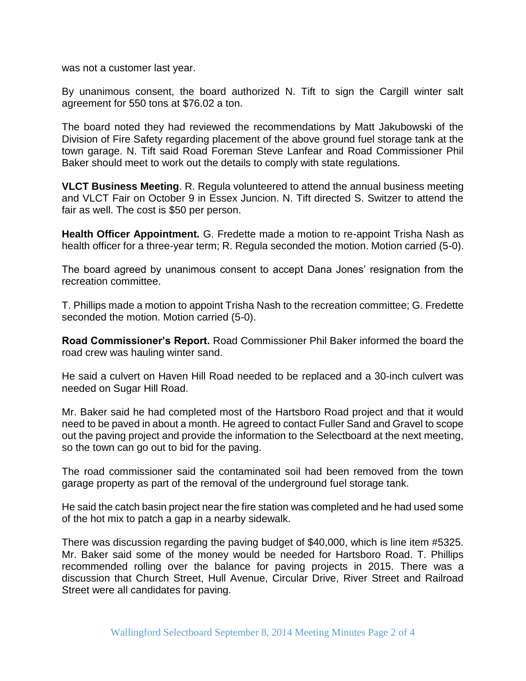was not a customer last year.

By unanimous consent, the board authorized N. Tift to sign the Cargill winter salt agreement for 550 tons at \$76.02 a ton.

The board noted they had reviewed the recommendations by Matt Jakubowski of the Division of Fire Safety regarding placement of the above ground fuel storage tank at the town garage. N. Tift said Road Foreman Steve Lanfear and Road Commissioner Phil Baker should meet to work out the details to comply with state regulations.

**VLCT Business Meeting**. R. Regula volunteered to attend the annual business meeting and VLCT Fair on October 9 in Essex Juncion. N. Tift directed S. Switzer to attend the fair as well. The cost is \$50 per person.

**Health Officer Appointment.** G. Fredette made a motion to re-appoint Trisha Nash as health officer for a three-year term; R. Regula seconded the motion. Motion carried (5-0).

The board agreed by unanimous consent to accept Dana Jones' resignation from the recreation committee.

T. Phillips made a motion to appoint Trisha Nash to the recreation committee; G. Fredette seconded the motion. Motion carried (5-0).

**Road Commissioner's Report.** Road Commissioner Phil Baker informed the board the road crew was hauling winter sand.

He said a culvert on Haven Hill Road needed to be replaced and a 30-inch culvert was needed on Sugar Hill Road.

Mr. Baker said he had completed most of the Hartsboro Road project and that it would need to be paved in about a month. He agreed to contact Fuller Sand and Gravel to scope out the paving project and provide the information to the Selectboard at the next meeting, so the town can go out to bid for the paving.

The road commissioner said the contaminated soil had been removed from the town garage property as part of the removal of the underground fuel storage tank.

He said the catch basin project near the fire station was completed and he had used some of the hot mix to patch a gap in a nearby sidewalk.

There was discussion regarding the paving budget of \$40,000, which is line item #5325. Mr. Baker said some of the money would be needed for Hartsboro Road. T. Phillips recommended rolling over the balance for paving projects in 2015. There was a discussion that Church Street, Hull Avenue, Circular Drive, River Street and Railroad Street were all candidates for paving.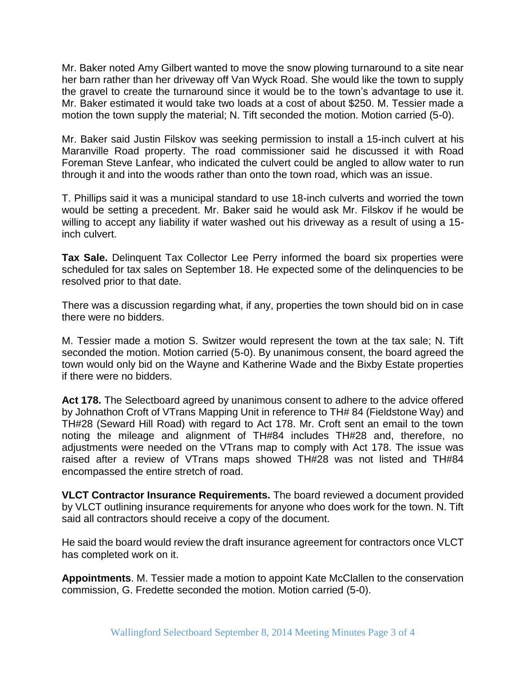Mr. Baker noted Amy Gilbert wanted to move the snow plowing turnaround to a site near her barn rather than her driveway off Van Wyck Road. She would like the town to supply the gravel to create the turnaround since it would be to the town's advantage to use it. Mr. Baker estimated it would take two loads at a cost of about \$250. M. Tessier made a motion the town supply the material; N. Tift seconded the motion. Motion carried (5-0).

Mr. Baker said Justin Filskov was seeking permission to install a 15-inch culvert at his Maranville Road property. The road commissioner said he discussed it with Road Foreman Steve Lanfear, who indicated the culvert could be angled to allow water to run through it and into the woods rather than onto the town road, which was an issue.

T. Phillips said it was a municipal standard to use 18-inch culverts and worried the town would be setting a precedent. Mr. Baker said he would ask Mr. Filskov if he would be willing to accept any liability if water washed out his driveway as a result of using a 15 inch culvert.

**Tax Sale.** Delinquent Tax Collector Lee Perry informed the board six properties were scheduled for tax sales on September 18. He expected some of the delinquencies to be resolved prior to that date.

There was a discussion regarding what, if any, properties the town should bid on in case there were no bidders.

M. Tessier made a motion S. Switzer would represent the town at the tax sale; N. Tift seconded the motion. Motion carried (5-0). By unanimous consent, the board agreed the town would only bid on the Wayne and Katherine Wade and the Bixby Estate properties if there were no bidders.

**Act 178.** The Selectboard agreed by unanimous consent to adhere to the advice offered by Johnathon Croft of VTrans Mapping Unit in reference to TH# 84 (Fieldstone Way) and TH#28 (Seward Hill Road) with regard to Act 178. Mr. Croft sent an email to the town noting the mileage and alignment of TH#84 includes TH#28 and, therefore, no adjustments were needed on the VTrans map to comply with Act 178. The issue was raised after a review of VTrans maps showed TH#28 was not listed and TH#84 encompassed the entire stretch of road.

**VLCT Contractor Insurance Requirements.** The board reviewed a document provided by VLCT outlining insurance requirements for anyone who does work for the town. N. Tift said all contractors should receive a copy of the document.

He said the board would review the draft insurance agreement for contractors once VLCT has completed work on it.

**Appointments**. M. Tessier made a motion to appoint Kate McClallen to the conservation commission, G. Fredette seconded the motion. Motion carried (5-0).